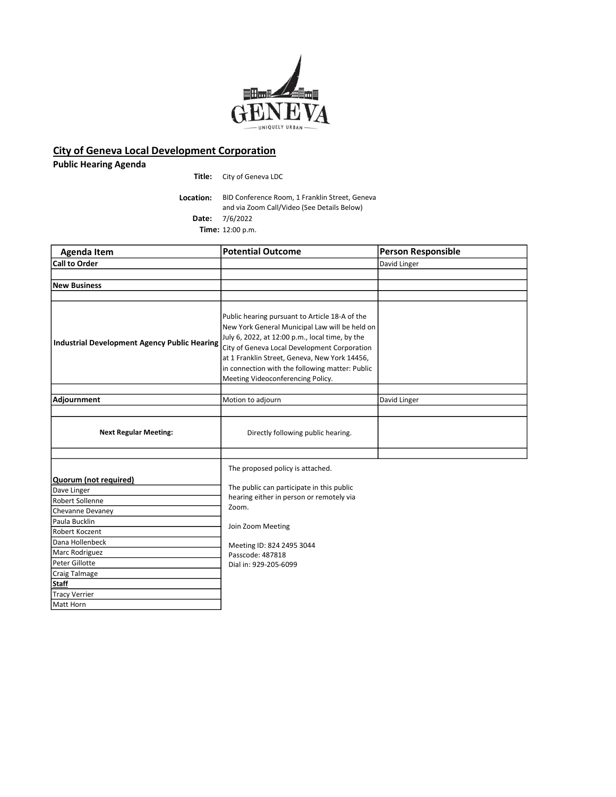

## City of Geneva Local Development Corporation

Public Hearing Agenda

Title: City of Geneva LDC

Location: BID Conference Room, 1 Franklin Street, Geneva and via Zoom Call/Video (See Details Below) Date: 7/6/2022 Time: 12:00 p.m.

| <b>Agenda Item</b>                                  | <b>Potential Outcome</b>                                                                                                                                                                                                                                                                                                                     | <b>Person Responsible</b> |
|-----------------------------------------------------|----------------------------------------------------------------------------------------------------------------------------------------------------------------------------------------------------------------------------------------------------------------------------------------------------------------------------------------------|---------------------------|
| <b>Call to Order</b>                                |                                                                                                                                                                                                                                                                                                                                              | David Linger              |
|                                                     |                                                                                                                                                                                                                                                                                                                                              |                           |
| <b>New Business</b>                                 |                                                                                                                                                                                                                                                                                                                                              |                           |
|                                                     |                                                                                                                                                                                                                                                                                                                                              |                           |
| <b>Industrial Development Agency Public Hearing</b> | Public hearing pursuant to Article 18-A of the<br>New York General Municipal Law will be held on<br>July 6, 2022, at 12:00 p.m., local time, by the<br>City of Geneva Local Development Corporation<br>at 1 Franklin Street, Geneva, New York 14456,<br>in connection with the following matter: Public<br>Meeting Videoconferencing Policy. |                           |
|                                                     |                                                                                                                                                                                                                                                                                                                                              |                           |
| Adjournment                                         | Motion to adjourn                                                                                                                                                                                                                                                                                                                            | David Linger              |
| <b>Next Regular Meeting:</b>                        | Directly following public hearing.                                                                                                                                                                                                                                                                                                           |                           |
| Quorum (not required)                               | The proposed policy is attached.                                                                                                                                                                                                                                                                                                             |                           |
| Dave Linger                                         | The public can participate in this public                                                                                                                                                                                                                                                                                                    |                           |
| Robert Sollenne                                     | hearing either in person or remotely via                                                                                                                                                                                                                                                                                                     |                           |
| Chevanne Devaney                                    | Zoom.                                                                                                                                                                                                                                                                                                                                        |                           |
| Paula Bucklin                                       |                                                                                                                                                                                                                                                                                                                                              |                           |
| Robert Koczent                                      | Join Zoom Meeting                                                                                                                                                                                                                                                                                                                            |                           |
| Dana Hollenbeck                                     | Meeting ID: 824 2495 3044                                                                                                                                                                                                                                                                                                                    |                           |
| Marc Rodriguez                                      | Passcode: 487818                                                                                                                                                                                                                                                                                                                             |                           |
| Peter Gillotte                                      | Dial in: 929-205-6099                                                                                                                                                                                                                                                                                                                        |                           |
| Craig Talmage                                       |                                                                                                                                                                                                                                                                                                                                              |                           |
| <b>Staff</b>                                        |                                                                                                                                                                                                                                                                                                                                              |                           |
| <b>Tracy Verrier</b>                                |                                                                                                                                                                                                                                                                                                                                              |                           |
| Matt Horn                                           |                                                                                                                                                                                                                                                                                                                                              |                           |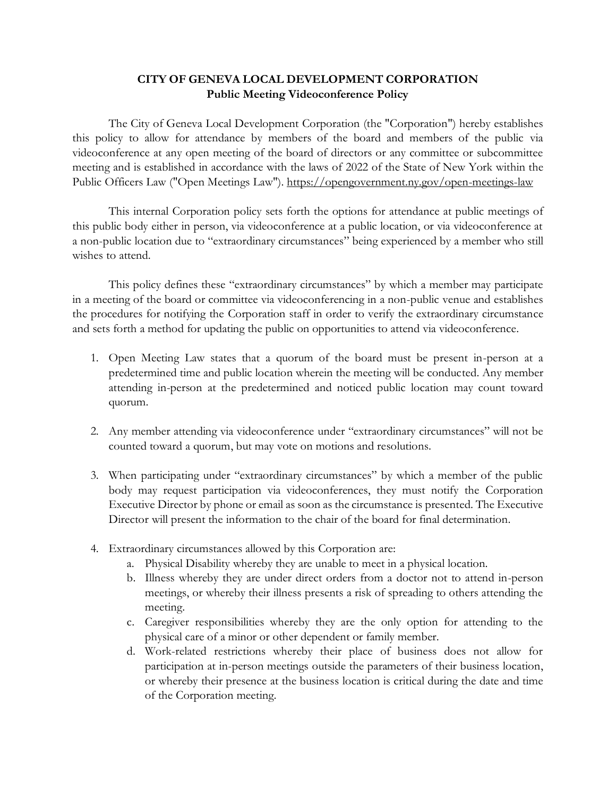## **CITY OF GENEVA LOCAL DEVELOPMENT CORPORATION Public Meeting Videoconference Policy**

The City of Geneva Local Development Corporation (the "Corporation") hereby establishes this policy to allow for attendance by members of the board and members of the public via videoconference at any open meeting of the board of directors or any committee or subcommittee meeting and is established in accordance with the laws of 2022 of the State of New York within the Public Officers Law ("Open Meetings Law"). <https://opengovernment.ny.gov/open-meetings-law>

This internal Corporation policy sets forth the options for attendance at public meetings of this public body either in person, via videoconference at a public location, or via videoconference at a non-public location due to "extraordinary circumstances" being experienced by a member who still wishes to attend.

This policy defines these "extraordinary circumstances" by which a member may participate in a meeting of the board or committee via videoconferencing in a non-public venue and establishes the procedures for notifying the Corporation staff in order to verify the extraordinary circumstance and sets forth a method for updating the public on opportunities to attend via videoconference.

- 1. Open Meeting Law states that a quorum of the board must be present in-person at a predetermined time and public location wherein the meeting will be conducted. Any member attending in-person at the predetermined and noticed public location may count toward quorum.
- 2. Any member attending via videoconference under "extraordinary circumstances" will not be counted toward a quorum, but may vote on motions and resolutions.
- 3. When participating under "extraordinary circumstances" by which a member of the public body may request participation via videoconferences, they must notify the Corporation Executive Director by phone or email as soon as the circumstance is presented. The Executive Director will present the information to the chair of the board for final determination.
- 4. Extraordinary circumstances allowed by this Corporation are:
	- a. Physical Disability whereby they are unable to meet in a physical location.
	- b. Illness whereby they are under direct orders from a doctor not to attend in-person meetings, or whereby their illness presents a risk of spreading to others attending the meeting.
	- c. Caregiver responsibilities whereby they are the only option for attending to the physical care of a minor or other dependent or family member.
	- d. Work-related restrictions whereby their place of business does not allow for participation at in-person meetings outside the parameters of their business location, or whereby their presence at the business location is critical during the date and time of the Corporation meeting.